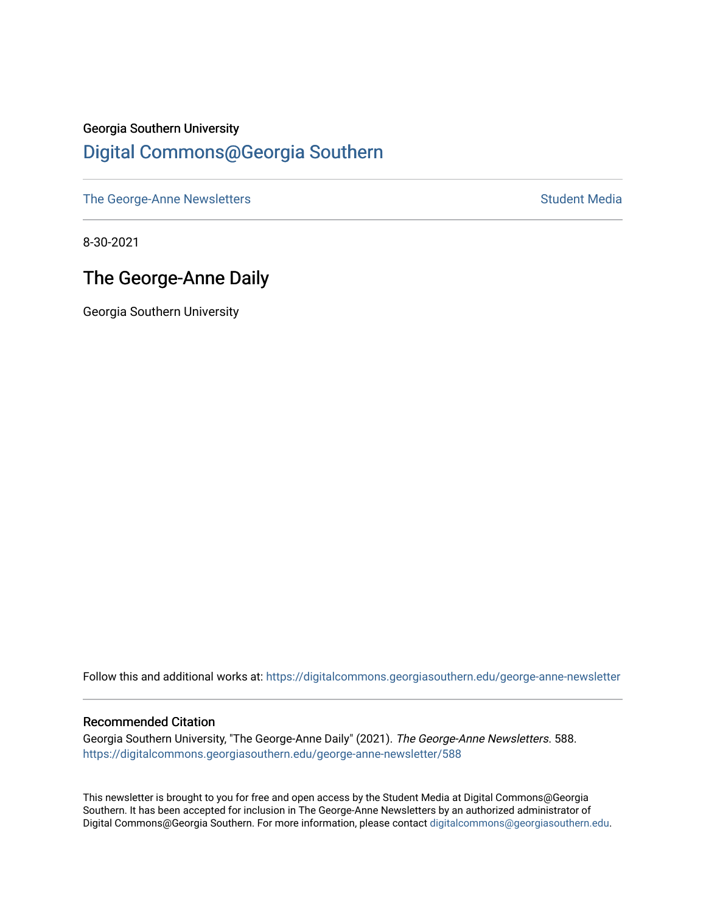## Georgia Southern University [Digital Commons@Georgia Southern](https://digitalcommons.georgiasouthern.edu/)

[The George-Anne Newsletters](https://digitalcommons.georgiasouthern.edu/george-anne-newsletter) **Student Media** Student Media

8-30-2021

## The George-Anne Daily

Georgia Southern University

Follow this and additional works at: [https://digitalcommons.georgiasouthern.edu/george-anne-newsletter](https://digitalcommons.georgiasouthern.edu/george-anne-newsletter?utm_source=digitalcommons.georgiasouthern.edu%2Fgeorge-anne-newsletter%2F588&utm_medium=PDF&utm_campaign=PDFCoverPages)

#### Recommended Citation

Georgia Southern University, "The George-Anne Daily" (2021). The George-Anne Newsletters. 588. [https://digitalcommons.georgiasouthern.edu/george-anne-newsletter/588](https://digitalcommons.georgiasouthern.edu/george-anne-newsletter/588?utm_source=digitalcommons.georgiasouthern.edu%2Fgeorge-anne-newsletter%2F588&utm_medium=PDF&utm_campaign=PDFCoverPages) 

This newsletter is brought to you for free and open access by the Student Media at Digital Commons@Georgia Southern. It has been accepted for inclusion in The George-Anne Newsletters by an authorized administrator of Digital Commons@Georgia Southern. For more information, please contact [digitalcommons@georgiasouthern.edu.](mailto:digitalcommons@georgiasouthern.edu)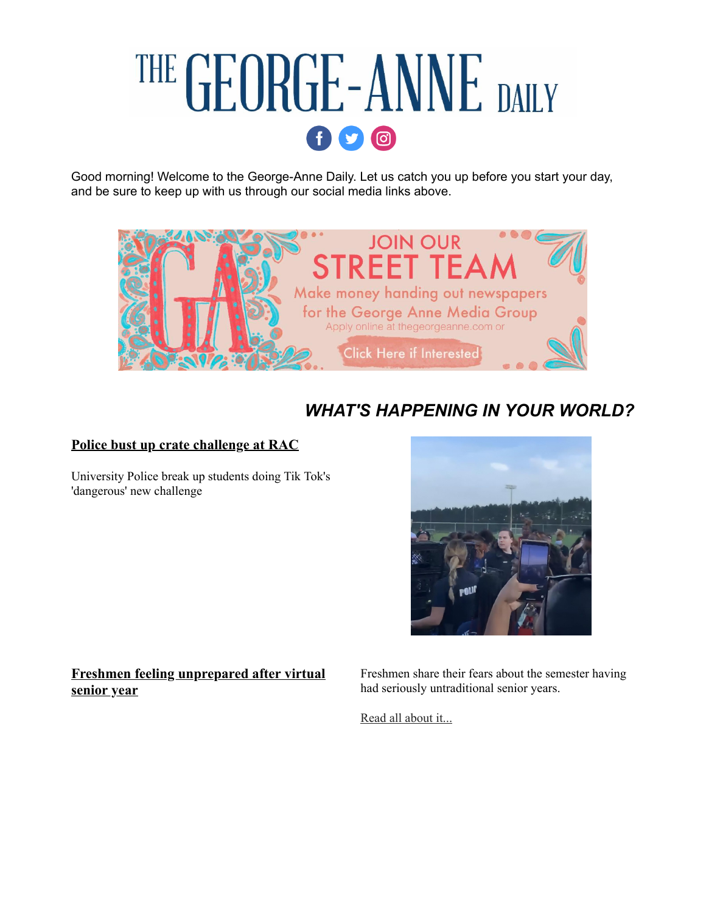# THE GEORGE-ANNE DAILY  $\mathbf{0}$

Good morning! Welcome to the George-Anne Daily. Let us catch you up before you start your day, and be sure to keep up with us through our social media links above.



## *WHAT'S HAPPENING IN YOUR WORLD?*

#### **[Police bust up crate challenge at RAC](https://r20.rs6.net/tn.jsp?f=001aPuBvH41X0qLK3yrQnjTmnrXPwvf-U_GlV0CITZQAzY7fr_ZceQb9PZgBO_SEwVtgZRZMgPAje3OGhSEvCbscxvFuquUee8oCXn5EfISfm4tL2EtbZFbQrMKhm3-jYtiY189v-Ux2Z4JbVnCt4ufERmRKj6Fftr4X0z3h-XglfrjZmeeTHlEta3o8Rnjew83gYQqmPGlsQwIp2gKW9qg1LyIMFtJ3hGvhvdfoDQzfsk=&c=Bj6U-uIOIwfTcDFarlYNwtmhmVBIMPzZ6HPQVN03HwuaexG3QdsG4A==&ch=zpMNXtxPZMI3Q5fbXy4Ote-0-Rc4VoTNrtIHxWQXfsFGVFBNtTD7Lw==)**

University Police break up students doing Tik Tok's 'dangerous' new challenge



**[Freshmen feeling unprepared after virtual](https://r20.rs6.net/tn.jsp?f=001aPuBvH41X0qLK3yrQnjTmnrXPwvf-U_GlV0CITZQAzY7fr_ZceQb9PZgBO_SEwVtvmERP4AfsxGXGuqbUROOlDUlqm341O4mYKUFR4dqEgsfEfV9C2TBSZU0tzLljrTfLWLgGTyXmY8vMlP5GP2dINxt6AVUmVQ4HfiRSXCffYVW8PFLpmtOytxwPeqRCTXZ_Hg4gnK6cZTzJsKB0k3TkWNwGELDp3UiunZqVM5shlE47r3O7HScE164IeHG1QSx&c=Bj6U-uIOIwfTcDFarlYNwtmhmVBIMPzZ6HPQVN03HwuaexG3QdsG4A==&ch=zpMNXtxPZMI3Q5fbXy4Ote-0-Rc4VoTNrtIHxWQXfsFGVFBNtTD7Lw==) senior year**

Freshmen share their fears about the semester having had seriously untraditional senior years.

[Read all about it...](https://r20.rs6.net/tn.jsp?f=001aPuBvH41X0qLK3yrQnjTmnrXPwvf-U_GlV0CITZQAzY7fr_ZceQb9PZgBO_SEwVtvmERP4AfsxGXGuqbUROOlDUlqm341O4mYKUFR4dqEgsfEfV9C2TBSZU0tzLljrTfLWLgGTyXmY8vMlP5GP2dINxt6AVUmVQ4HfiRSXCffYVW8PFLpmtOytxwPeqRCTXZ_Hg4gnK6cZTzJsKB0k3TkWNwGELDp3UiunZqVM5shlE47r3O7HScE164IeHG1QSx&c=Bj6U-uIOIwfTcDFarlYNwtmhmVBIMPzZ6HPQVN03HwuaexG3QdsG4A==&ch=zpMNXtxPZMI3Q5fbXy4Ote-0-Rc4VoTNrtIHxWQXfsFGVFBNtTD7Lw==)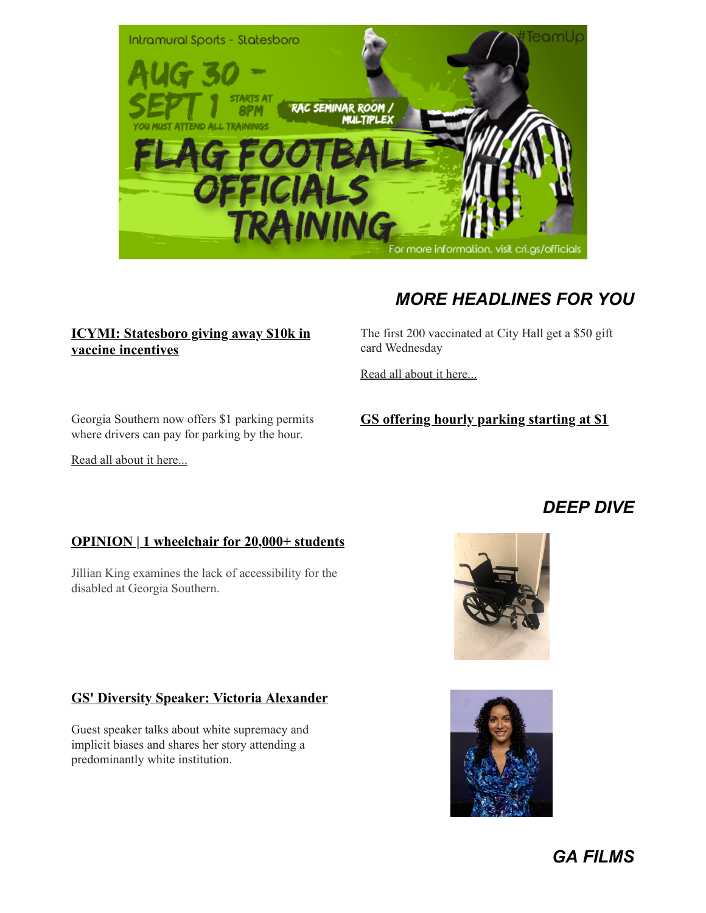

#### **[ICYMI: Statesboro giving away \\$10k in](https://r20.rs6.net/tn.jsp?f=001aPuBvH41X0qLK3yrQnjTmnrXPwvf-U_GlV0CITZQAzY7fr_ZceQb9KMkUhBgTf6lJJEuKF6r8I8L7GITTjEK7yMk0e90yjgUvBA1kgtwT8Rfisp1bwSlxyvKo7Xihyhw6nIKyeGtBS44qfiX-j88E9ghs15zq89CVX9lQzViE2ZlH4dzZoK_KxYNEaMpIG4U2M5hVOhQTJyNFcir1FSJnGv4x2nMGs_wGGvvqg6mdSuWZUDFb5NcBjG11TqqXcMh&c=Bj6U-uIOIwfTcDFarlYNwtmhmVBIMPzZ6HPQVN03HwuaexG3QdsG4A==&ch=zpMNXtxPZMI3Q5fbXy4Ote-0-Rc4VoTNrtIHxWQXfsFGVFBNtTD7Lw==) vaccine incentives**

*MORE HEADLINES FOR YOU*

The first 200 vaccinated at City Hall get a \$50 gift card Wednesday

[Read all about it here...](https://r20.rs6.net/tn.jsp?f=001aPuBvH41X0qLK3yrQnjTmnrXPwvf-U_GlV0CITZQAzY7fr_ZceQb9KMkUhBgTf6lJJEuKF6r8I8L7GITTjEK7yMk0e90yjgUvBA1kgtwT8Rfisp1bwSlxyvKo7Xihyhw6nIKyeGtBS44qfiX-j88E9ghs15zq89CVX9lQzViE2ZlH4dzZoK_KxYNEaMpIG4U2M5hVOhQTJyNFcir1FSJnGv4x2nMGs_wGGvvqg6mdSuWZUDFb5NcBjG11TqqXcMh&c=Bj6U-uIOIwfTcDFarlYNwtmhmVBIMPzZ6HPQVN03HwuaexG3QdsG4A==&ch=zpMNXtxPZMI3Q5fbXy4Ote-0-Rc4VoTNrtIHxWQXfsFGVFBNtTD7Lw==)

Georgia Southern now offers \$1 parking permits where drivers can pay for parking by the hour.

[Read all about it here...](https://r20.rs6.net/tn.jsp?f=001aPuBvH41X0qLK3yrQnjTmnrXPwvf-U_GlV0CITZQAzY7fr_ZceQb9PZgBO_SEwVtb6BJMlVhL8SBJFGQrWrQv_rpo81bF-snTJ5Vi4_0dnrvv7cD-duGUatlK7kSMyCfvrfPjAkrNJqANth8Py5GdQ6EYzbdLZ17EoUStexKB5sp2Mb3X8EIKe0q_4E-W5wWx_CsSmklswKTt-VcfJzzHPIOVLPY-aTdsGIhCXTmS-I=&c=Bj6U-uIOIwfTcDFarlYNwtmhmVBIMPzZ6HPQVN03HwuaexG3QdsG4A==&ch=zpMNXtxPZMI3Q5fbXy4Ote-0-Rc4VoTNrtIHxWQXfsFGVFBNtTD7Lw==)

#### **[GS offering hourly parking starting at \\$1](https://r20.rs6.net/tn.jsp?f=001aPuBvH41X0qLK3yrQnjTmnrXPwvf-U_GlV0CITZQAzY7fr_ZceQb9PZgBO_SEwVtb6BJMlVhL8SBJFGQrWrQv_rpo81bF-snTJ5Vi4_0dnrvv7cD-duGUatlK7kSMyCfvrfPjAkrNJqANth8Py5GdQ6EYzbdLZ17EoUStexKB5sp2Mb3X8EIKe0q_4E-W5wWx_CsSmklswKTt-VcfJzzHPIOVLPY-aTdsGIhCXTmS-I=&c=Bj6U-uIOIwfTcDFarlYNwtmhmVBIMPzZ6HPQVN03HwuaexG3QdsG4A==&ch=zpMNXtxPZMI3Q5fbXy4Ote-0-Rc4VoTNrtIHxWQXfsFGVFBNtTD7Lw==)**

### **OPINION 1 wheelchair for 20,000+ students**

Jillian King examines the lack of accessibility for the disabled at Georgia Southern.

#### **[GS' Diversity Speaker: Victoria Alexander](https://r20.rs6.net/tn.jsp?f=001aPuBvH41X0qLK3yrQnjTmnrXPwvf-U_GlV0CITZQAzY7fr_ZceQb9AdzeO6M8suQNc2TxWKQG2pfW82jv5Pt9aeAm0W5aH_MvXCeglD0GEaTU1gy5eg9X-OoI3tINg2hLutxWEfi3SVR0EYvM4TxT5r1Bqj5vUi99juzprKoHqXoJca4VzIxnhio0N5xEfxehCfUGYmJtGbZucIfb9svCeuTAZ3g2bj8&c=Bj6U-uIOIwfTcDFarlYNwtmhmVBIMPzZ6HPQVN03HwuaexG3QdsG4A==&ch=zpMNXtxPZMI3Q5fbXy4Ote-0-Rc4VoTNrtIHxWQXfsFGVFBNtTD7Lw==)**

Guest speaker talks about white supremacy and implicit biases and shares her story attending a predominantly white institution.





## *DEEP DIVE*

*GA FILMS*